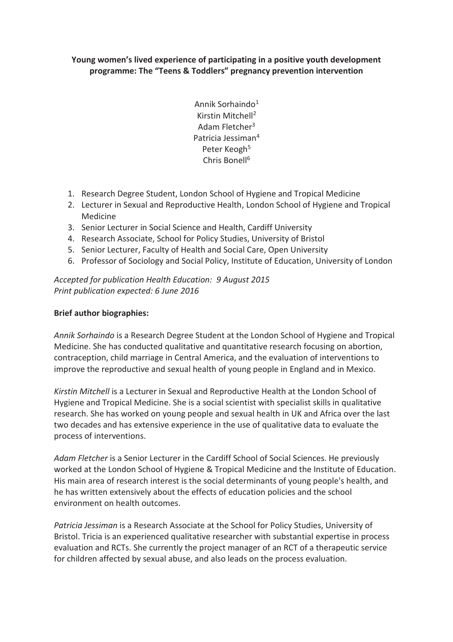**Young women's lived experience of participating in a positive youth development programme: The "Teens & Toddlers" pregnancy prevention intervention** 

> Annik Sorhaindo<sup>1</sup> Kirstin Mitchell<sup>2</sup> Adam Fletcher<sup>3</sup> Patricia Jessiman<sup>4</sup> Peter Keogh<sup>5</sup> Chris Bonell<sup>6</sup>

- 1. Research Degree Student, London School of Hygiene and Tropical Medicine
- 2. Lecturer in Sexual and Reproductive Health, London School of Hygiene and Tropical Medicine
- 3. Senior Lecturer in Social Science and Health, Cardiff University
- 4. Research Associate, School for Policy Studies, University of Bristol
- 5. Senior Lecturer, Faculty of Health and Social Care, Open University
- 6. Professor of Sociology and Social Policy, Institute of Education, University of London

*Accepted for publication Health Education: 9 August 2015 Print publication expected: 6 June 2016* 

#### **Brief author biographies:**

*Annik Sorhaindo* is a Research Degree Student at the London School of Hygiene and Tropical Medicine. She has conducted qualitative and quantitative research focusing on abortion, contraception, child marriage in Central America, and the evaluation of interventions to improve the reproductive and sexual health of young people in England and in Mexico.

*Kirstin Mitchell* is a Lecturer in Sexual and Reproductive Health at the London School of Hygiene and Tropical Medicine. She is a social scientist with specialist skills in qualitative research. She has worked on young people and sexual health in UK and Africa over the last two decades and has extensive experience in the use of qualitative data to evaluate the process of interventions.

*Adam Fletcher* is a Senior Lecturer in the Cardiff School of Social Sciences. He previously worked at the London School of Hygiene & Tropical Medicine and the Institute of Education. His main area of research interest is the social determinants of young people's health, and he has written extensively about the effects of education policies and the school environment on health outcomes.

*Patricia Jessiman* is a Research Associate at the School for Policy Studies, University of Bristol. Tricia is an experienced qualitative researcher with substantial expertise in process evaluation and RCTs. She currently the project manager of an RCT of a therapeutic service for children affected by sexual abuse, and also leads on the process evaluation.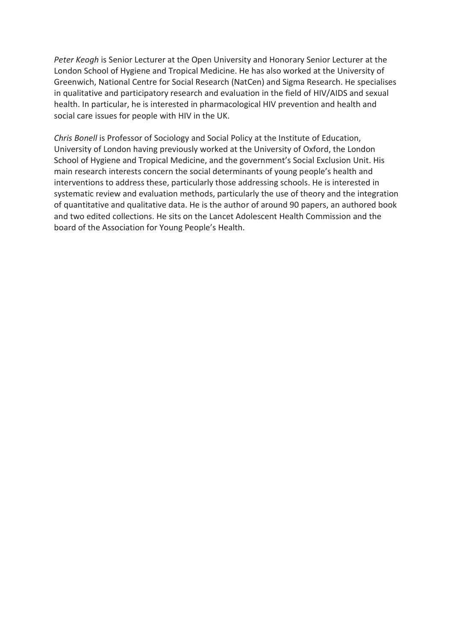*Peter Keogh* is Senior Lecturer at the Open University and Honorary Senior Lecturer at the London School of Hygiene and Tropical Medicine. He has also worked at the University of Greenwich, National Centre for Social Research (NatCen) and Sigma Research. He specialises in qualitative and participatory research and evaluation in the field of HIV/AIDS and sexual health. In particular, he is interested in pharmacological HIV prevention and health and social care issues for people with HIV in the UK.

*Chris Bonell* is Professor of Sociology and Social Policy at the Institute of Education, University of London having previously worked at the University of Oxford, the London School of Hygiene and Tropical Medicine, and the government's Social Exclusion Unit. His main research interests concern the social determinants of young people's health and interventions to address these, particularly those addressing schools. He is interested in systematic review and evaluation methods, particularly the use of theory and the integration of quantitative and qualitative data. He is the author of around 90 papers, an authored book and two edited collections. He sits on the Lancet Adolescent Health Commission and the board of the Association for Young People's Health.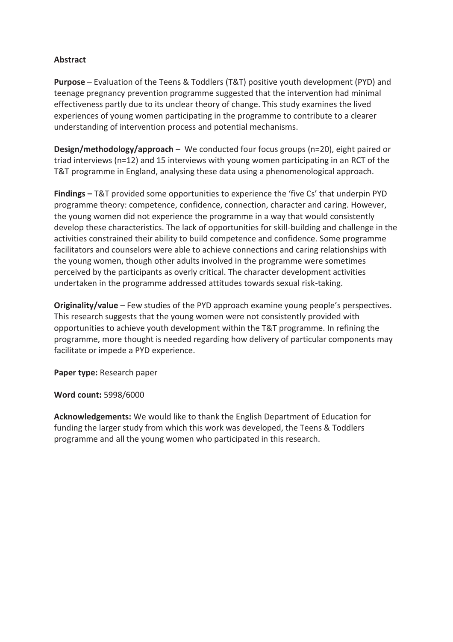#### **Abstract**

**Purpose** – Evaluation of the Teens & Toddlers (T&T) positive youth development (PYD) and teenage pregnancy prevention programme suggested that the intervention had minimal effectiveness partly due to its unclear theory of change. This study examines the lived experiences of young women participating in the programme to contribute to a clearer understanding of intervention process and potential mechanisms.

**Design/methodology/approach** – We conducted four focus groups (n=20), eight paired or triad interviews (n=12) and 15 interviews with young women participating in an RCT of the T&T programme in England, analysing these data using a phenomenological approach.

**Findings –** T&T provided some opportunities to experience the 'five Cs' that underpin PYD programme theory: competence, confidence, connection, character and caring. However, the young women did not experience the programme in a way that would consistently develop these characteristics. The lack of opportunities for skill-building and challenge in the activities constrained their ability to build competence and confidence. Some programme facilitators and counselors were able to achieve connections and caring relationships with the young women, though other adults involved in the programme were sometimes perceived by the participants as overly critical. The character development activities undertaken in the programme addressed attitudes towards sexual risk-taking.

**Originality/value** – Few studies of the PYD approach examine young people's perspectives. This research suggests that the young women were not consistently provided with opportunities to achieve youth development within the T&T programme. In refining the programme, more thought is needed regarding how delivery of particular components may facilitate or impede a PYD experience.

**Paper type:** Research paper

**Word count:** 5998/6000

**Acknowledgements:** We would like to thank the English Department of Education for funding the larger study from which this work was developed, the Teens & Toddlers programme and all the young women who participated in this research.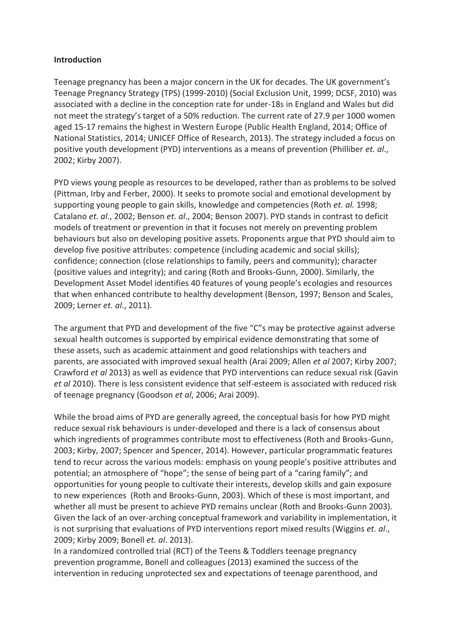#### **Introduction**

Teenage pregnancy has been a major concern in the UK for decades. The UK government's Teenage Pregnancy Strategy (TPS) (1999-2010) (Social Exclusion Unit, 1999; DCSF, 2010) was associated with a decline in the conception rate for under-18s in England and Wales but did not meet the strategy's target of a 50% reduction. The current rate of 27.9 per 1000 women aged 15-17 remains the highest in Western Europe (Public Health England, 2014; Office of National Statistics, 2014; UNICEF Office of Research, 2013). The strategy included a focus on positive youth development (PYD) interventions as a means of prevention (Philliber *et. al*., 2002; Kirby 2007).

PYD views young people as resources to be developed, rather than as problems to be solved (Pittman, Irby and Ferber, 2000). It seeks to promote social and emotional development by supporting young people to gain skills, knowledge and competencies (Roth *et. al.* 1998; Catalano *et. al*., 2002; Benson *et. al*., 2004; Benson 2007). PYD stands in contrast to deficit models of treatment or prevention in that it focuses not merely on preventing problem behaviours but also on developing positive assets. Proponents argue that PYD should aim to develop five positive attributes: competence (including academic and social skills); confidence; connection (close relationships to family, peers and community); character (positive values and integrity); and caring (Roth and Brooks-Gunn, 2000). Similarly, the Development Asset Model identifies 40 features of young people's ecologies and resources that when enhanced contribute to healthy development (Benson, 1997; Benson and Scales, 2009; Lerner *et. al*., 2011).

The argument that PYD and development of the five "C"s may be protective against adverse sexual health outcomes is supported by empirical evidence demonstrating that some of these assets, such as academic attainment and good relationships with teachers and parents, are associated with improved sexual health (Arai 2009; Allen *et al* 2007; Kirby 2007; Crawford *et al* 2013) as well as evidence that PYD interventions can reduce sexual risk (Gavin *et al* 2010). There is less consistent evidence that self-esteem is associated with reduced risk of teenage pregnancy (Goodson *et al*, 2006; Arai 2009).

While the broad aims of PYD are generally agreed, the conceptual basis for how PYD might reduce sexual risk behaviours is under-developed and there is a lack of consensus about which ingredients of programmes contribute most to effectiveness (Roth and Brooks-Gunn, 2003; Kirby, 2007; Spencer and Spencer, 2014). However, particular programmatic features tend to recur across the various models: emphasis on young people's positive attributes and potential; an atmosphere of "hope"; the sense of being part of a "caring family"; and opportunities for young people to cultivate their interests, develop skills and gain exposure to new experiences (Roth and Brooks-Gunn, 2003). Which of these is most important, and whether all must be present to achieve PYD remains unclear (Roth and Brooks-Gunn 2003). Given the lack of an over-arching conceptual framework and variability in implementation, it is not surprising that evaluations of PYD interventions report mixed results (Wiggins *et. al*., 2009; Kirby 2009; Bonell *et. al*. 2013).

In a randomized controlled trial (RCT) of the Teens & Toddlers teenage pregnancy prevention programme, Bonell and colleagues (2013) examined the success of the intervention in reducing unprotected sex and expectations of teenage parenthood, and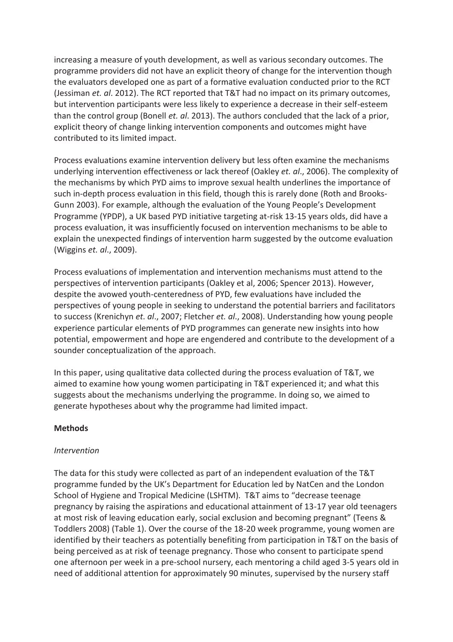increasing a measure of youth development, as well as various secondary outcomes. The programme providers did not have an explicit theory of change for the intervention though the evaluators developed one as part of a formative evaluation conducted prior to the RCT (Jessiman *et. al*. 2012). The RCT reported that T&T had no impact on its primary outcomes, but intervention participants were less likely to experience a decrease in their self-esteem than the control group (Bonell *et. al*. 2013). The authors concluded that the lack of a prior, explicit theory of change linking intervention components and outcomes might have contributed to its limited impact.

Process evaluations examine intervention delivery but less often examine the mechanisms underlying intervention effectiveness or lack thereof (Oakley *et. al*., 2006). The complexity of the mechanisms by which PYD aims to improve sexual health underlines the importance of such in-depth process evaluation in this field, though this is rarely done (Roth and Brooks-Gunn 2003). For example, although the evaluation of the Young People's Development Programme (YPDP), a UK based PYD initiative targeting at-risk 13-15 years olds, did have a process evaluation, it was insufficiently focused on intervention mechanisms to be able to explain the unexpected findings of intervention harm suggested by the outcome evaluation (Wiggins *et. al*., 2009).

Process evaluations of implementation and intervention mechanisms must attend to the perspectives of intervention participants (Oakley et al, 2006; Spencer 2013). However, despite the avowed youth-centeredness of PYD, few evaluations have included the perspectives of young people in seeking to understand the potential barriers and facilitators to success (Krenichyn *et. al*., 2007; Fletcher *et. al*., 2008). Understanding how young people experience particular elements of PYD programmes can generate new insights into how potential, empowerment and hope are engendered and contribute to the development of a sounder conceptualization of the approach.

In this paper, using qualitative data collected during the process evaluation of T&T, we aimed to examine how young women participating in T&T experienced it; and what this suggests about the mechanisms underlying the programme. In doing so, we aimed to generate hypotheses about why the programme had limited impact.

#### **Methods**

## *Intervention*

The data for this study were collected as part of an independent evaluation of the T&T programme funded by the UK's Department for Education led by NatCen and the London School of Hygiene and Tropical Medicine (LSHTM). T&T aims to "decrease teenage pregnancy by raising the aspirations and educational attainment of 13-17 year old teenagers at most risk of leaving education early, social exclusion and becoming pregnant" (Teens & Toddlers 2008) (Table 1). Over the course of the 18-20 week programme, young women are identified by their teachers as potentially benefiting from participation in T&T on the basis of being perceived as at risk of teenage pregnancy. Those who consent to participate spend one afternoon per week in a pre-school nursery, each mentoring a child aged 3-5 years old in need of additional attention for approximately 90 minutes, supervised by the nursery staff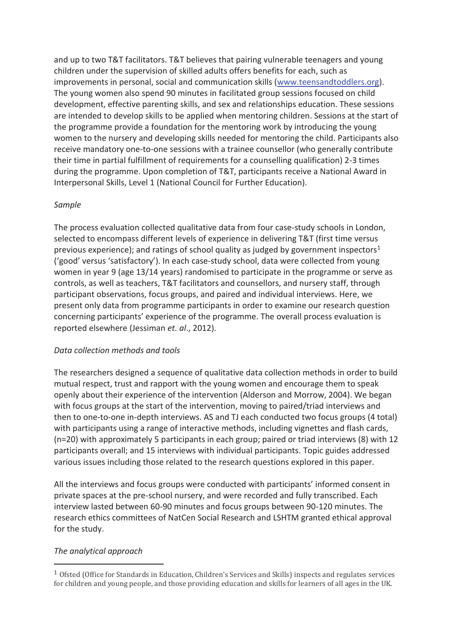and up to two T&T facilitators. T&T believes that pairing vulnerable teenagers and young children under the supervision of skilled adults offers benefits for each, such as improvements in personal, social and communication skills (www.teensandtoddlers.org). The young women also spend 90 minutes in facilitated group sessions focused on child development, effective parenting skills, and sex and relationships education. These sessions are intended to develop skills to be applied when mentoring children. Sessions at the start of the programme provide a foundation for the mentoring work by introducing the young women to the nursery and developing skills needed for mentoring the child. Participants also receive mandatory one-to-one sessions with a trainee counsellor (who generally contribute their time in partial fulfillment of requirements for a counselling qualification) 2-3 times during the programme. Upon completion of T&T, participants receive a National Award in Interpersonal Skills, Level 1 (National Council for Further Education).

## *Sample*

The process evaluation collected qualitative data from four case-study schools in London, selected to encompass different levels of experience in delivering T&T (first time versus previous experience); and ratings of school quality as judged by government inspectors<sup>1</sup> ('good' versus 'satisfactory'). In each case-study school, data were collected from young women in year 9 (age 13/14 years) randomised to participate in the programme or serve as controls, as well as teachers, T&T facilitators and counsellors, and nursery staff, through participant observations, focus groups, and paired and individual interviews. Here, we present only data from programme participants in order to examine our research question concerning participants' experience of the programme. The overall process evaluation is reported elsewhere (Jessiman *et. al*., 2012).

## *Data collection methods and tools*

The researchers designed a sequence of qualitative data collection methods in order to build mutual respect, trust and rapport with the young women and encourage them to speak openly about their experience of the intervention (Alderson and Morrow, 2004). We began with focus groups at the start of the intervention, moving to paired/triad interviews and then to one-to-one in-depth interviews. AS and TJ each conducted two focus groups (4 total) with participants using a range of interactive methods, including vignettes and flash cards, (n=20) with approximately 5 participants in each group; paired or triad interviews (8) with 12 participants overall; and 15 interviews with individual participants. Topic guides addressed various issues including those related to the research questions explored in this paper.

All the interviews and focus groups were conducted with participants' informed consent in private spaces at the pre-school nursery, and were recorded and fully transcribed. Each interview lasted between 60-90 minutes and focus groups between 90-120 minutes. The research ethics committees of NatCen Social Research and LSHTM granted ethical approval for the study.

## *The analytical approach*

 $\overline{a}$ 

<sup>1</sup> Ofsted (Office for Standards in Education, Children's Services and Skills) inspects and regulates services for children and young people, and those providing education and skills for learners of all ages in the UK.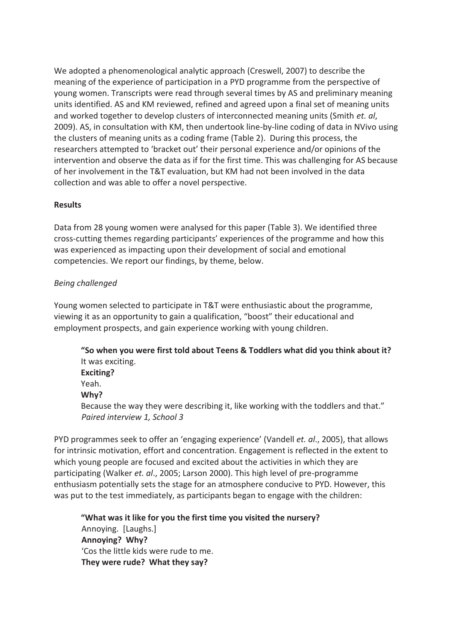We adopted a phenomenological analytic approach (Creswell, 2007) to describe the meaning of the experience of participation in a PYD programme from the perspective of young women. Transcripts were read through several times by AS and preliminary meaning units identified. AS and KM reviewed, refined and agreed upon a final set of meaning units and worked together to develop clusters of interconnected meaning units (Smith *et. al*, 2009). AS, in consultation with KM, then undertook line-by-line coding of data in NVivo using the clusters of meaning units as a coding frame (Table 2). During this process, the researchers attempted to 'bracket out' their personal experience and/or opinions of the intervention and observe the data as if for the first time. This was challenging for AS because of her involvement in the T&T evaluation, but KM had not been involved in the data collection and was able to offer a novel perspective.

## **Results**

Data from 28 young women were analysed for this paper (Table 3). We identified three cross-cutting themes regarding participants' experiences of the programme and how this was experienced as impacting upon their development of social and emotional competencies. We report our findings, by theme, below.

## *Being challenged*

Young women selected to participate in T&T were enthusiastic about the programme, viewing it as an opportunity to gain a qualification, "boost" their educational and employment prospects, and gain experience working with young children.

**"So when you were first told about Teens & Toddlers what did you think about it?**  It was exciting. **Exciting?**  Yeah. **Why?**  Because the way they were describing it, like working with the toddlers and that." *Paired interview 1, School 3* 

PYD programmes seek to offer an 'engaging experience' (Vandell *et. al*., 2005), that allows for intrinsic motivation, effort and concentration. Engagement is reflected in the extent to which young people are focused and excited about the activities in which they are participating (Walker *et. al*., 2005; Larson 2000). This high level of pre-programme enthusiasm potentially sets the stage for an atmosphere conducive to PYD. However, this was put to the test immediately, as participants began to engage with the children:

**"What was it like for you the first time you visited the nursery?**  Annoying. [Laughs.]  **Annoying? Why?**  'Cos the little kids were rude to me. **They were rude? What they say?**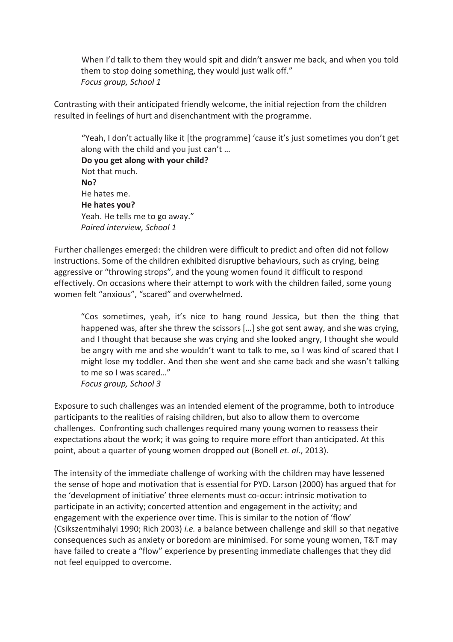When I'd talk to them they would spit and didn't answer me back, and when you told them to stop doing something, they would just walk off." *Focus group, School 1*

Contrasting with their anticipated friendly welcome, the initial rejection from the children resulted in feelings of hurt and disenchantment with the programme.

"Yeah, I don't actually like it [the programme] 'cause it's just sometimes you don't get along with the child and you just can't … **Do you get along with your child?**  Not that much.  **No?**  He hates me.  **He hates you?**  Yeah. He tells me to go away." *Paired interview, School 1* 

Further challenges emerged: the children were difficult to predict and often did not follow instructions. Some of the children exhibited disruptive behaviours, such as crying, being aggressive or "throwing strops", and the young women found it difficult to respond effectively. On occasions where their attempt to work with the children failed, some young women felt "anxious", "scared" and overwhelmed.

"Cos sometimes, yeah, it's nice to hang round Jessica, but then the thing that happened was, after she threw the scissors […] she got sent away, and she was crying, and I thought that because she was crying and she looked angry, I thought she would be angry with me and she wouldn't want to talk to me, so I was kind of scared that I might lose my toddler. And then she went and she came back and she wasn't talking to me so I was scared…"

*Focus group, School 3*

Exposure to such challenges was an intended element of the programme, both to introduce participants to the realities of raising children, but also to allow them to overcome challenges. Confronting such challenges required many young women to reassess their expectations about the work; it was going to require more effort than anticipated. At this point, about a quarter of young women dropped out (Bonell *et. al*., 2013).

The intensity of the immediate challenge of working with the children may have lessened the sense of hope and motivation that is essential for PYD. Larson (2000) has argued that for the 'development of initiative' three elements must co-occur: intrinsic motivation to participate in an activity; concerted attention and engagement in the activity; and engagement with the experience over time. This is similar to the notion of 'flow' (Csikszentmihalyi 1990; Rich 2003) *i.e.* a balance between challenge and skill so that negative consequences such as anxiety or boredom are minimised. For some young women, T&T may have failed to create a "flow" experience by presenting immediate challenges that they did not feel equipped to overcome.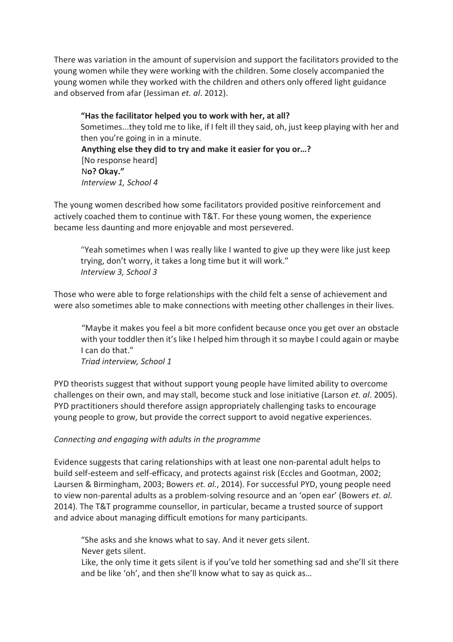There was variation in the amount of supervision and support the facilitators provided to the young women while they were working with the children. Some closely accompanied the young women while they worked with the children and others only offered light guidance and observed from afar (Jessiman *et. al*. 2012).

**"Has the facilitator helped you to work with her, at all?** Sometimes...they told me to like, if I felt ill they said, oh, just keep playing with her and then you're going in in a minute. **Anything else they did to try and make it easier for you or…?** [No response heard] N**o? Okay."** *Interview 1, School 4* 

The young women described how some facilitators provided positive reinforcement and actively coached them to continue with T&T. For these young women, the experience became less daunting and more enjoyable and most persevered.

"Yeah sometimes when I was really like I wanted to give up they were like just keep trying, don't worry, it takes a long time but it will work." *Interview 3, School 3* 

Those who were able to forge relationships with the child felt a sense of achievement and were also sometimes able to make connections with meeting other challenges in their lives.

"Maybe it makes you feel a bit more confident because once you get over an obstacle with your toddler then it's like I helped him through it so maybe I could again or maybe I can do that." *Triad interview, School 1*

PYD theorists suggest that without support young people have limited ability to overcome challenges on their own, and may stall, become stuck and lose initiative (Larson *et. al*. 2005). PYD practitioners should therefore assign appropriately challenging tasks to encourage young people to grow, but provide the correct support to avoid negative experiences.

## *Connecting and engaging with adults in the programme*

Evidence suggests that caring relationships with at least one non-parental adult helps to build self-esteem and self-efficacy, and protects against risk (Eccles and Gootman, 2002; Laursen & Birmingham, 2003; Bowers *et. al.*, 2014). For successful PYD, young people need to view non-parental adults as a problem-solving resource and an 'open ear' (Bowers *et. al*. 2014). The T&T programme counsellor, in particular, became a trusted source of support and advice about managing difficult emotions for many participants.

"She asks and she knows what to say. And it never gets silent. Never gets silent.

Like, the only time it gets silent is if you've told her something sad and she'll sit there and be like 'oh', and then she'll know what to say as quick as…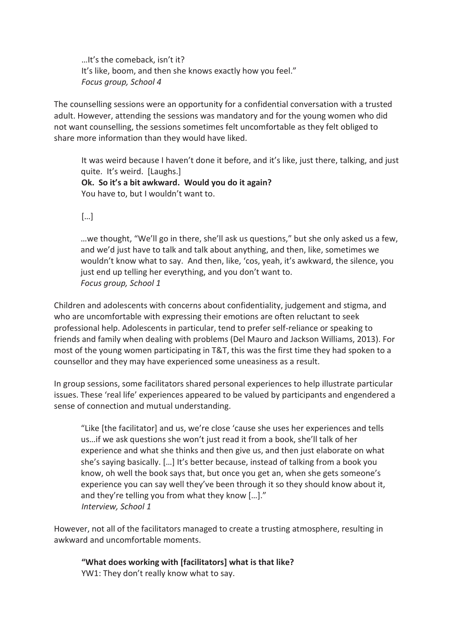…It's the comeback, isn't it? It's like, boom, and then she knows exactly how you feel." *Focus group, School 4*

The counselling sessions were an opportunity for a confidential conversation with a trusted adult. However, attending the sessions was mandatory and for the young women who did not want counselling, the sessions sometimes felt uncomfortable as they felt obliged to share more information than they would have liked.

It was weird because I haven't done it before, and it's like, just there, talking, and just quite. It's weird. [Laughs.] **Ok. So it's a bit awkward. Would you do it again?** 

You have to, but I wouldn't want to.

[…]

...we thought, "We'll go in there, she'll ask us questions," but she only asked us a few, and we'd just have to talk and talk about anything, and then, like, sometimes we wouldn't know what to say. And then, like, 'cos, yeah, it's awkward, the silence, you just end up telling her everything, and you don't want to. *Focus group, School 1* 

Children and adolescents with concerns about confidentiality, judgement and stigma, and who are uncomfortable with expressing their emotions are often reluctant to seek professional help. Adolescents in particular, tend to prefer self-reliance or speaking to friends and family when dealing with problems (Del Mauro and Jackson Williams, 2013). For most of the young women participating in T&T, this was the first time they had spoken to a counsellor and they may have experienced some uneasiness as a result.

In group sessions, some facilitators shared personal experiences to help illustrate particular issues. These 'real life' experiences appeared to be valued by participants and engendered a sense of connection and mutual understanding.

"Like [the facilitator] and us, we're close 'cause she uses her experiences and tells us…if we ask questions she won't just read it from a book, she'll talk of her experience and what she thinks and then give us, and then just elaborate on what she's saying basically. […] It's better because, instead of talking from a book you know, oh well the book says that, but once you get an, when she gets someone's experience you can say well they've been through it so they should know about it, and they're telling you from what they know […]." *Interview, School 1*

However, not all of the facilitators managed to create a trusting atmosphere, resulting in awkward and uncomfortable moments.

 **"What does working with [facilitators] what is that like?**  YW1: They don't really know what to say.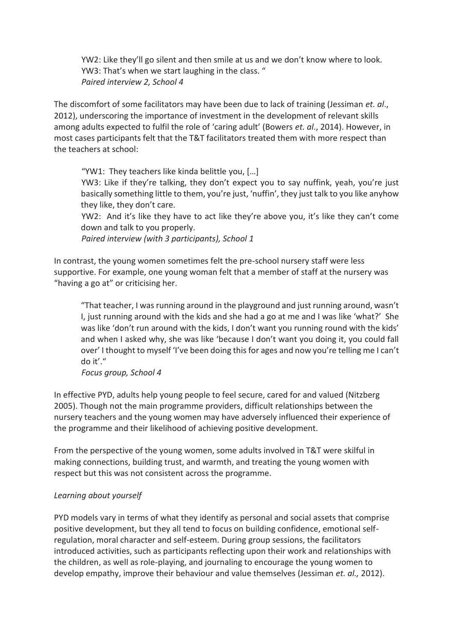YW2: Like they'll go silent and then smile at us and we don't know where to look. YW3: That's when we start laughing in the class. " *Paired interview 2, School 4*

The discomfort of some facilitators may have been due to lack of training (Jessiman *et. al*., 2012), underscoring the importance of investment in the development of relevant skills among adults expected to fulfil the role of 'caring adult' (Bowers *et. al*., 2014). However, in most cases participants felt that the T&T facilitators treated them with more respect than the teachers at school:

"YW1: They teachers like kinda belittle you, […] YW3: Like if they're talking, they don't expect you to say nuffink, yeah, you're just basically something little to them, you're just, 'nuffin', they just talk to you like anyhow they like, they don't care.

YW2: And it's like they have to act like they're above you, it's like they can't come down and talk to you properly.

*Paired interview (with 3 participants), School 1* 

In contrast, the young women sometimes felt the pre-school nursery staff were less supportive. For example, one young woman felt that a member of staff at the nursery was "having a go at" or criticising her.

"That teacher, I was running around in the playground and just running around, wasn't I, just running around with the kids and she had a go at me and I was like 'what?' She was like 'don't run around with the kids, I don't want you running round with the kids' and when I asked why, she was like 'because I don't want you doing it, you could fall over' I thought to myself 'I've been doing this for ages and now you're telling me I can't do it'."

*Focus group, School 4* 

In effective PYD, adults help young people to feel secure, cared for and valued (Nitzberg 2005). Though not the main programme providers, difficult relationships between the nursery teachers and the young women may have adversely influenced their experience of the programme and their likelihood of achieving positive development.

From the perspective of the young women, some adults involved in T&T were skilful in making connections, building trust, and warmth, and treating the young women with respect but this was not consistent across the programme.

## *Learning about yourself*

PYD models vary in terms of what they identify as personal and social assets that comprise positive development, but they all tend to focus on building confidence, emotional selfregulation, moral character and self-esteem. During group sessions, the facilitators introduced activities, such as participants reflecting upon their work and relationships with the children, as well as role-playing, and journaling to encourage the young women to develop empathy, improve their behaviour and value themselves (Jessiman *et. al.,* 2012).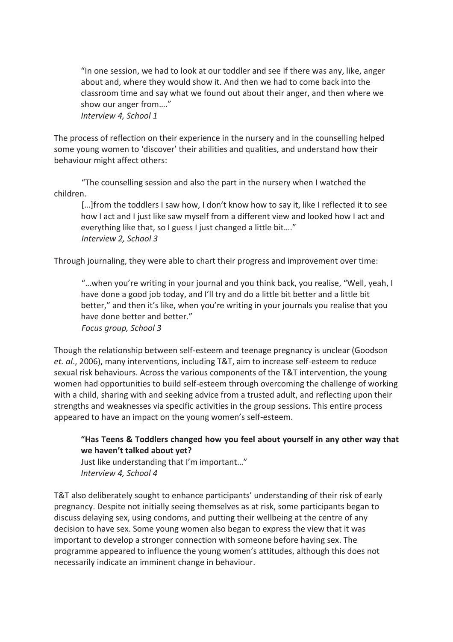"In one session, we had to look at our toddler and see if there was any, like, anger about and, where they would show it. And then we had to come back into the classroom time and say what we found out about their anger, and then where we show our anger from…." *Interview 4, School 1* 

The process of reflection on their experience in the nursery and in the counselling helped some young women to 'discover' their abilities and qualities, and understand how their behaviour might affect others:

"The counselling session and also the part in the nursery when I watched the children.

[...] from the toddlers I saw how, I don't know how to say it, like I reflected it to see how I act and I just like saw myself from a different view and looked how I act and everything like that, so I guess I just changed a little bit…." *Interview 2, School 3* 

Through journaling, they were able to chart their progress and improvement over time:

"…when you're writing in your journal and you think back, you realise, "Well, yeah, I have done a good job today, and I'll try and do a little bit better and a little bit better," and then it's like, when you're writing in your journals you realise that you have done better and better."

 *Focus group, School 3* 

Though the relationship between self-esteem and teenage pregnancy is unclear (Goodson *et. al*., 2006), many interventions, including T&T, aim to increase self-esteem to reduce sexual risk behaviours. Across the various components of the T&T intervention, the young women had opportunities to build self-esteem through overcoming the challenge of working with a child, sharing with and seeking advice from a trusted adult, and reflecting upon their strengths and weaknesses via specific activities in the group sessions. This entire process appeared to have an impact on the young women's self-esteem.

# **"Has Teens & Toddlers changed how you feel about yourself in any other way that we haven't talked about yet?**

Just like understanding that I'm important…" *Interview 4, School 4*

T&T also deliberately sought to enhance participants' understanding of their risk of early pregnancy. Despite not initially seeing themselves as at risk, some participants began to discuss delaying sex, using condoms, and putting their wellbeing at the centre of any decision to have sex. Some young women also began to express the view that it was important to develop a stronger connection with someone before having sex. The programme appeared to influence the young women's attitudes, although this does not necessarily indicate an imminent change in behaviour.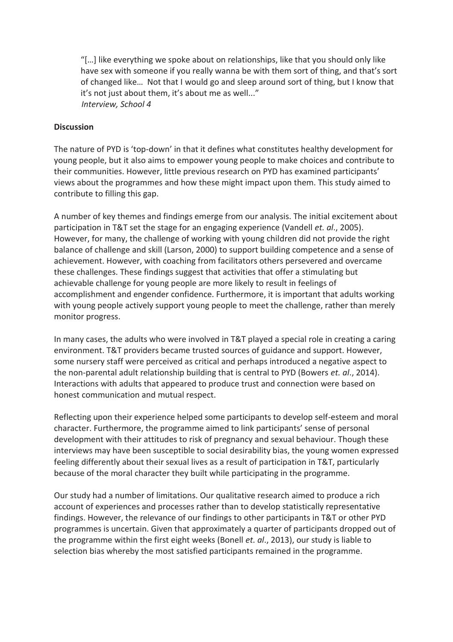"[…] like everything we spoke about on relationships, like that you should only like have sex with someone if you really wanna be with them sort of thing, and that's sort of changed like… Not that I would go and sleep around sort of thing, but I know that it's not just about them, it's about me as well..." *Interview, School 4* 

#### **Discussion**

The nature of PYD is 'top-down' in that it defines what constitutes healthy development for young people, but it also aims to empower young people to make choices and contribute to their communities. However, little previous research on PYD has examined participants' views about the programmes and how these might impact upon them. This study aimed to contribute to filling this gap.

A number of key themes and findings emerge from our analysis. The initial excitement about participation in T&T set the stage for an engaging experience (Vandell *et. al*., 2005). However, for many, the challenge of working with young children did not provide the right balance of challenge and skill (Larson, 2000) to support building competence and a sense of achievement. However, with coaching from facilitators others persevered and overcame these challenges. These findings suggest that activities that offer a stimulating but achievable challenge for young people are more likely to result in feelings of accomplishment and engender confidence. Furthermore, it is important that adults working with young people actively support young people to meet the challenge, rather than merely monitor progress.

In many cases, the adults who were involved in T&T played a special role in creating a caring environment. T&T providers became trusted sources of guidance and support. However, some nursery staff were perceived as critical and perhaps introduced a negative aspect to the non-parental adult relationship building that is central to PYD (Bowers *et. al*., 2014). Interactions with adults that appeared to produce trust and connection were based on honest communication and mutual respect.

Reflecting upon their experience helped some participants to develop self-esteem and moral character. Furthermore, the programme aimed to link participants' sense of personal development with their attitudes to risk of pregnancy and sexual behaviour. Though these interviews may have been susceptible to social desirability bias, the young women expressed feeling differently about their sexual lives as a result of participation in T&T, particularly because of the moral character they built while participating in the programme.

Our study had a number of limitations. Our qualitative research aimed to produce a rich account of experiences and processes rather than to develop statistically representative findings. However, the relevance of our findings to other participants in T&T or other PYD programmes is uncertain. Given that approximately a quarter of participants dropped out of the programme within the first eight weeks (Bonell *et. al*., 2013), our study is liable to selection bias whereby the most satisfied participants remained in the programme.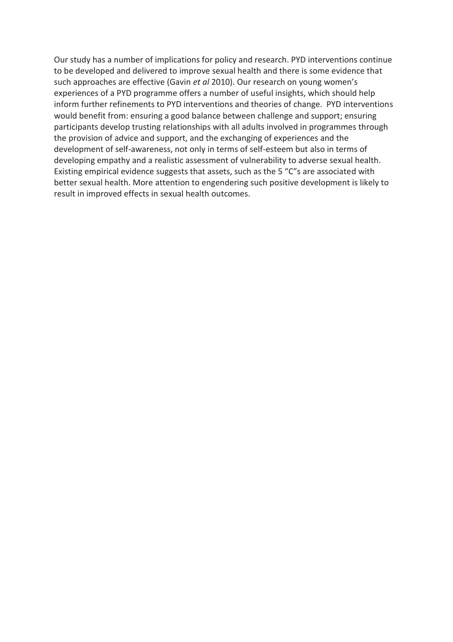Our study has a number of implications for policy and research. PYD interventions continue to be developed and delivered to improve sexual health and there is some evidence that such approaches are effective (Gavin *et al* 2010). Our research on young women's experiences of a PYD programme offers a number of useful insights, which should help inform further refinements to PYD interventions and theories of change. PYD interventions would benefit from: ensuring a good balance between challenge and support; ensuring participants develop trusting relationships with all adults involved in programmes through the provision of advice and support, and the exchanging of experiences and the development of self-awareness, not only in terms of self-esteem but also in terms of developing empathy and a realistic assessment of vulnerability to adverse sexual health. Existing empirical evidence suggests that assets, such as the 5 "C"s are associated with better sexual health. More attention to engendering such positive development is likely to result in improved effects in sexual health outcomes.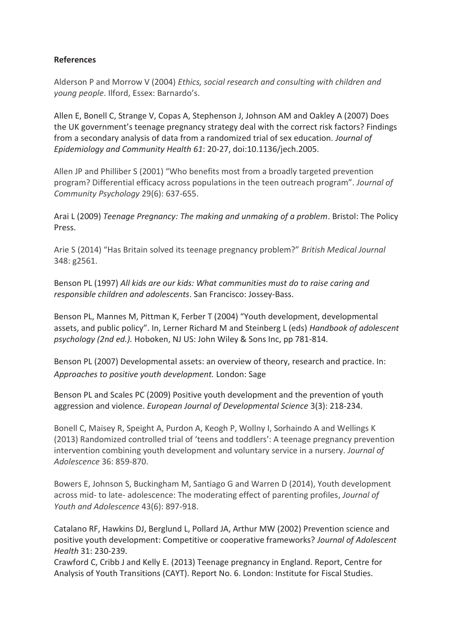#### **References**

Alderson P and Morrow V (2004) *Ethics, social research and consulting with children and young people*. Ilford, Essex: Barnardo's.

Allen E, Bonell C, Strange V, Copas A, Stephenson J, Johnson AM and Oakley A (2007) Does the UK government's teenage pregnancy strategy deal with the correct risk factors? Findings from a secondary analysis of data from a randomized trial of sex education. *Journal of Epidemiology and Community Health 61*: 20-27, doi:10.1136/jech.2005.

Allen JP and Philliber S (2001) "Who benefits most from a broadly targeted prevention program? Differential efficacy across populations in the teen outreach program". *Journal of Community Psychology* 29(6): 637-655.

Arai L (2009) *Teenage Pregnancy: The making and unmaking of a problem*. Bristol: The Policy Press.

Arie S (2014) "Has Britain solved its teenage pregnancy problem?" *British Medical Journal* 348: g2561.

Benson PL (1997) *All kids are our kids: What communities must do to raise caring and responsible children and adolescents*. San Francisco: Jossey-Bass.

Benson PL, Mannes M, Pittman K, Ferber T (2004) "Youth development, developmental assets, and public policy". In, Lerner Richard M and Steinberg L (eds) *Handbook of adolescent psychology (2nd ed.).* Hoboken, NJ US: John Wiley & Sons Inc, pp 781-814.

Benson PL (2007) Developmental assets: an overview of theory, research and practice. In: *Approaches to positive youth development.* London: Sage

Benson PL and Scales PC (2009) Positive youth development and the prevention of youth aggression and violence. *European Journal of Developmental Science* 3(3): 218-234.

Bonell C, Maisey R, Speight A, Purdon A, Keogh P, Wollny I, Sorhaindo A and Wellings K (2013) Randomized controlled trial of 'teens and toddlers': A teenage pregnancy prevention intervention combining youth development and voluntary service in a nursery. *Journal of Adolescence* 36: 859-870.

Bowers E, Johnson S, Buckingham M, Santiago G and Warren D (2014), Youth development across mid- to late- adolescence: The moderating effect of parenting profiles, *Journal of Youth and Adolescence* 43(6): 897-918.

Catalano RF, Hawkins DJ, Berglund L, Pollard JA, Arthur MW (2002) Prevention science and positive youth development: Competitive or cooperative frameworks? *Journal of Adolescent Health* 31: 230-239.

Crawford C, Cribb J and Kelly E. (2013) Teenage pregnancy in England. Report, Centre for Analysis of Youth Transitions (CAYT). Report No. 6. London: Institute for Fiscal Studies.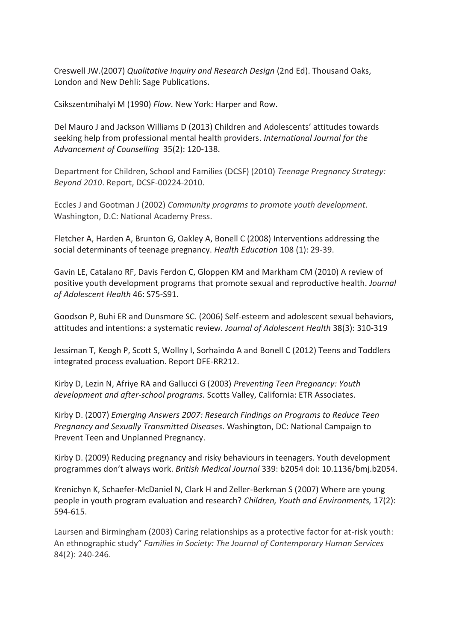Creswell JW.(2007) *Qualitative Inquiry and Research Design* (2nd Ed). Thousand Oaks, London and New Dehli: Sage Publications.

Csikszentmihalyi M (1990) *Flow*. New York: Harper and Row.

Del Mauro J and Jackson Williams D (2013) Children and Adolescents' attitudes towards seeking help from professional mental health providers. *International Journal for the Advancement of Counselling* 35(2): 120-138.

Department for Children, School and Families (DCSF) (2010) *Teenage Pregnancy Strategy: Beyond 2010*. Report, DCSF-00224-2010.

Eccles J and Gootman J (2002) *Community programs to promote youth development*. Washington, D.C: National Academy Press.

Fletcher A, Harden A, Brunton G, Oakley A, Bonell C (2008) Interventions addressing the social determinants of teenage pregnancy. *Health Education* 108 (1): 29-39.

Gavin LE, Catalano RF, Davis Ferdon C, Gloppen KM and Markham CM (2010) A review of positive youth development programs that promote sexual and reproductive health. *Journal of Adolescent Health* 46: S75-S91.

Goodson P, Buhi ER and Dunsmore SC. (2006) Self-esteem and adolescent sexual behaviors, attitudes and intentions: a systematic review. *Journal of Adolescent Health* 38(3): 310-319

Jessiman T, Keogh P, Scott S, Wollny I, Sorhaindo A and Bonell C (2012) Teens and Toddlers integrated process evaluation. Report DFE-RR212.

Kirby D, Lezin N, Afriye RA and Gallucci G (2003) *Preventing Teen Pregnancy: Youth development and after-school programs.* Scotts Valley, California: ETR Associates.

Kirby D. (2007) *Emerging Answers 2007: Research Findings on Programs to Reduce Teen Pregnancy and Sexually Transmitted Diseases*. Washington, DC: National Campaign to Prevent Teen and Unplanned Pregnancy.

Kirby D. (2009) Reducing pregnancy and risky behaviours in teenagers. Youth development programmes don't always work. *British Medical Journal* 339: b2054 doi: 10.1136/bmj.b2054.

Krenichyn K, Schaefer-McDaniel N, Clark H and Zeller-Berkman S (2007) Where are young people in youth program evaluation and research? *Children, Youth and Environments,* 17(2): 594-615.

Laursen and Birmingham (2003) Caring relationships as a protective factor for at-risk youth: An ethnographic study" *Families in Society: The Journal of Contemporary Human Services* 84(2): 240-246.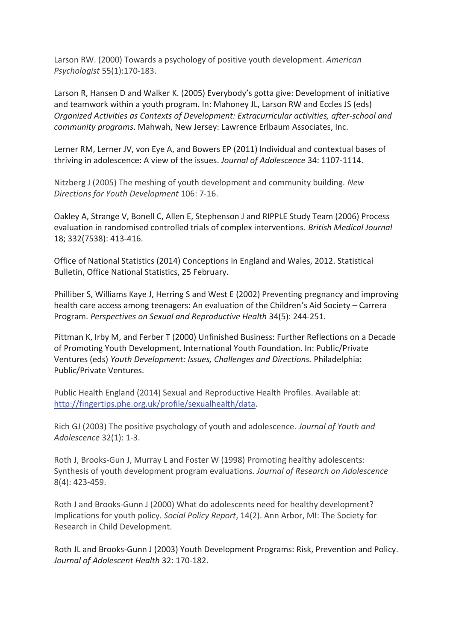Larson RW. (2000) Towards a psychology of positive youth development. *American Psychologist* 55(1):170-183.

Larson R, Hansen D and Walker K. (2005) Everybody's gotta give: Development of initiative and teamwork within a youth program. In: Mahoney JL, Larson RW and Eccles JS (eds) *Organized Activities as Contexts of Development: Extracurricular activities, after-school and community programs*. Mahwah, New Jersey: Lawrence Erlbaum Associates, Inc.

Lerner RM, Lerner JV, von Eye A, and Bowers EP (2011) Individual and contextual bases of thriving in adolescence: A view of the issues. *Journal of Adolescence* 34: 1107-1114.

Nitzberg J (2005) The meshing of youth development and community building. *New Directions for Youth Development* 106: 7-16.

Oakley A, Strange V, Bonell C, Allen E, Stephenson J and RIPPLE Study Team (2006) Process evaluation in randomised controlled trials of complex interventions. *British Medical Journal* 18; 332(7538): 413-416.

Office of National Statistics (2014) Conceptions in England and Wales, 2012. Statistical Bulletin, Office National Statistics, 25 February.

Philliber S, Williams Kaye J, Herring S and West E (2002) Preventing pregnancy and improving health care access among teenagers: An evaluation of the Children's Aid Society – Carrera Program. *Perspectives on Sexual and Reproductive Health* 34(5): 244-251.

Pittman K, Irby M, and Ferber T (2000) Unfinished Business: Further Reflections on a Decade of Promoting Youth Development, International Youth Foundation. In: Public/Private Ventures (eds) *Youth Development: Issues, Challenges and Directions.* Philadelphia: Public/Private Ventures.

Public Health England (2014) Sexual and Reproductive Health Profiles. Available at: http://fingertips.phe.org.uk/profile/sexualhealth/data.

Rich GJ (2003) The positive psychology of youth and adolescence. *Journal of Youth and Adolescence* 32(1): 1-3.

Roth J, Brooks-Gun J, Murray L and Foster W (1998) Promoting healthy adolescents: Synthesis of youth development program evaluations*. Journal of Research on Adolescence* 8(4): 423-459.

Roth J and Brooks-Gunn J (2000) What do adolescents need for healthy development? Implications for youth policy. *Social Policy Report*, 14(2). Ann Arbor, MI: The Society for Research in Child Development.

Roth JL and Brooks-Gunn J (2003) Youth Development Programs: Risk, Prevention and Policy. *Journal of Adolescent Health* 32: 170-182.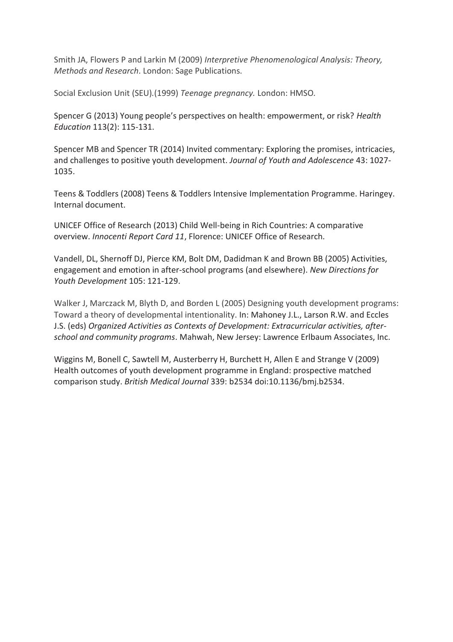Smith JA, Flowers P and Larkin M (2009) *Interpretive Phenomenological Analysis: Theory, Methods and Research*. London: Sage Publications.

Social Exclusion Unit (SEU)*.*(1999) *Teenage pregnancy.* London: HMSO*.* 

Spencer G (2013) Young people's perspectives on health: empowerment, or risk? *Health Education* 113(2): 115-131.

Spencer MB and Spencer TR (2014) Invited commentary: Exploring the promises, intricacies, and challenges to positive youth development. *Journal of Youth and Adolescence* 43: 1027- 1035.

Teens & Toddlers (2008) Teens & Toddlers Intensive Implementation Programme. Haringey. Internal document.

UNICEF Office of Research (2013) Child Well-being in Rich Countries: A comparative overview. *Innocenti Report Card 11*, Florence: UNICEF Office of Research.

Vandell, DL, Shernoff DJ, Pierce KM, Bolt DM, Dadidman K and Brown BB (2005) Activities, engagement and emotion in after-school programs (and elsewhere). *New Directions for Youth Development* 105: 121-129.

Walker J, Marczack M, Blyth D, and Borden L (2005) Designing youth development programs: Toward a theory of developmental intentionality. In: Mahoney J.L., Larson R.W. and Eccles J.S. (eds) *Organized Activities as Contexts of Development: Extracurricular activities, afterschool and community programs*. Mahwah, New Jersey: Lawrence Erlbaum Associates, Inc.

Wiggins M, Bonell C, Sawtell M, Austerberry H, Burchett H, Allen E and Strange V (2009) Health outcomes of youth development programme in England: prospective matched comparison study. *British Medical Journal* 339: b2534 doi:10.1136/bmj.b2534.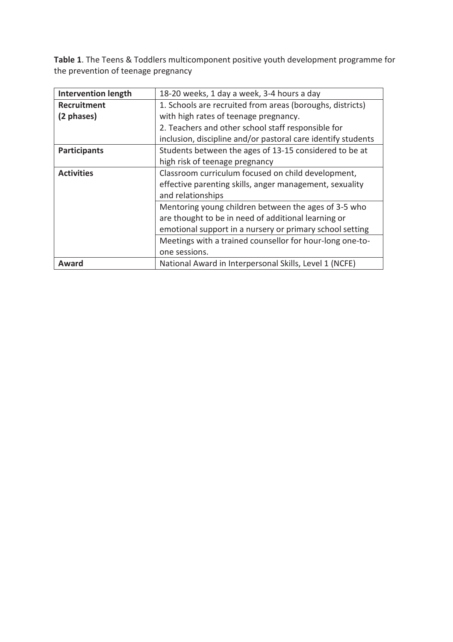**Table 1**. The Teens & Toddlers multicomponent positive youth development programme for the prevention of teenage pregnancy

| <b>Intervention length</b> | 18-20 weeks, 1 day a week, 3-4 hours a day                   |  |  |  |  |  |  |
|----------------------------|--------------------------------------------------------------|--|--|--|--|--|--|
| <b>Recruitment</b>         | 1. Schools are recruited from areas (boroughs, districts)    |  |  |  |  |  |  |
| (2 phases)                 | with high rates of teenage pregnancy.                        |  |  |  |  |  |  |
|                            | 2. Teachers and other school staff responsible for           |  |  |  |  |  |  |
|                            | inclusion, discipline and/or pastoral care identify students |  |  |  |  |  |  |
| <b>Participants</b>        | Students between the ages of 13-15 considered to be at       |  |  |  |  |  |  |
|                            | high risk of teenage pregnancy                               |  |  |  |  |  |  |
| <b>Activities</b>          | Classroom curriculum focused on child development,           |  |  |  |  |  |  |
|                            | effective parenting skills, anger management, sexuality      |  |  |  |  |  |  |
|                            | and relationships                                            |  |  |  |  |  |  |
|                            | Mentoring young children between the ages of 3-5 who         |  |  |  |  |  |  |
|                            | are thought to be in need of additional learning or          |  |  |  |  |  |  |
|                            | emotional support in a nursery or primary school setting     |  |  |  |  |  |  |
|                            | Meetings with a trained counsellor for hour-long one-to-     |  |  |  |  |  |  |
|                            | one sessions.                                                |  |  |  |  |  |  |
| Award                      | National Award in Interpersonal Skills, Level 1 (NCFE)       |  |  |  |  |  |  |